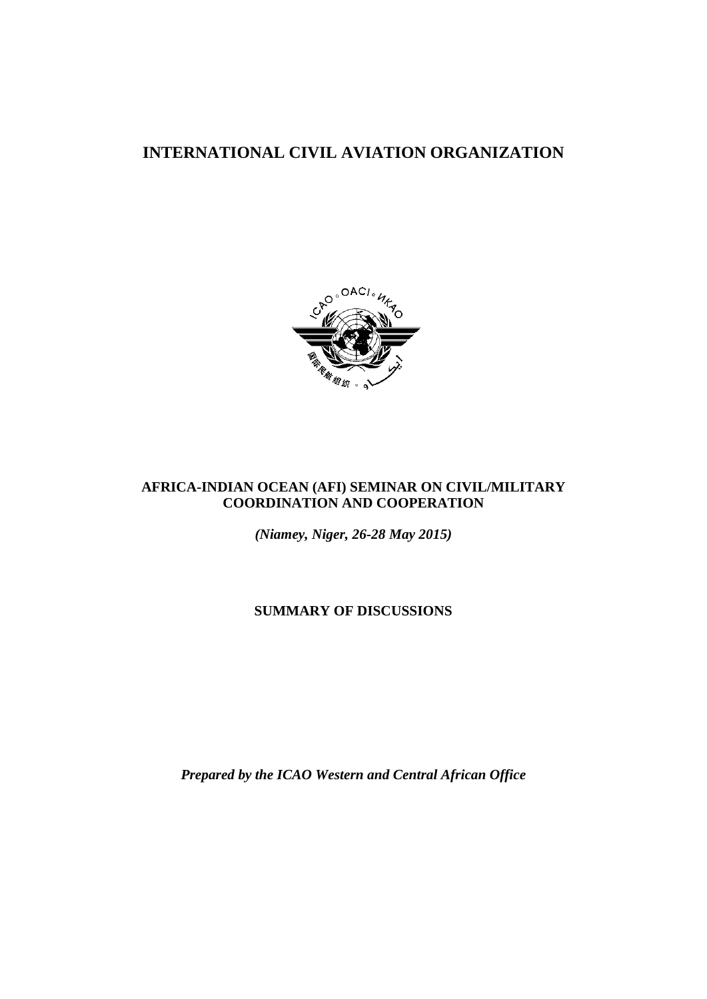# **INTERNATIONAL CIVIL AVIATION ORGANIZATION**



# **AFRICA-INDIAN OCEAN (AFI) SEMINAR ON CIVIL/MILITARY COORDINATION AND COOPERATION**

*(Niamey, Niger, 26-28 May 2015)*

**SUMMARY OF DISCUSSIONS** 

*Prepared by the ICAO Western and Central African Office*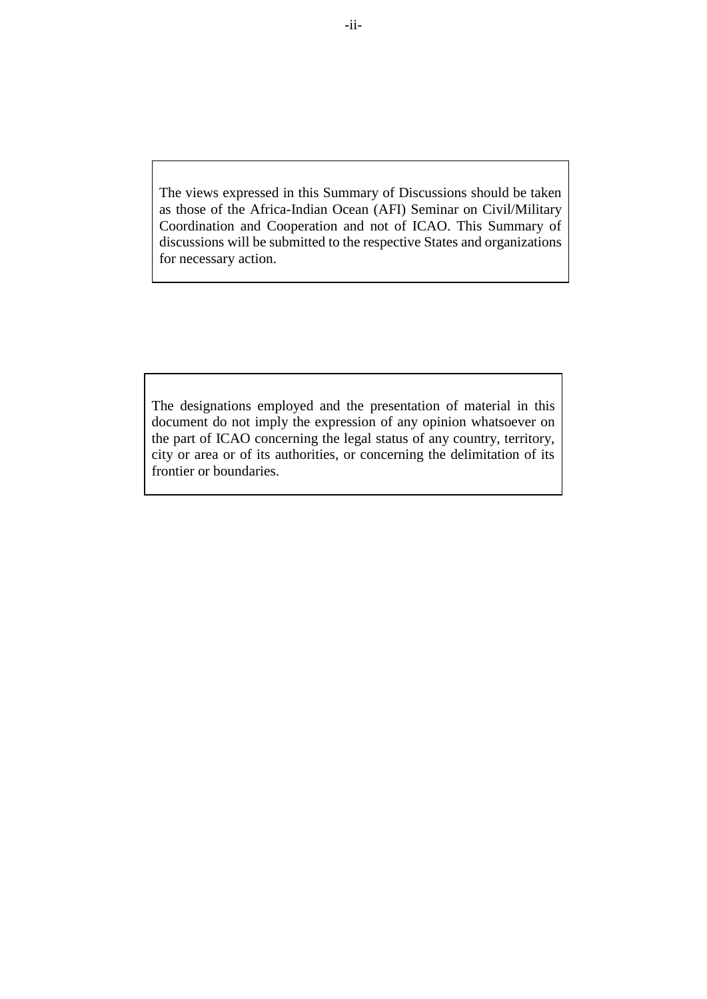The views expressed in this Summary of Discussions should be taken as those of the Africa-Indian Ocean (AFI) Seminar on Civil/Military Coordination and Cooperation and not of ICAO. This Summary of discussions will be submitted to the respective States and organizations for necessary action.

The designations employed and the presentation of material in this document do not imply the expression of any opinion whatsoever on the part of ICAO concerning the legal status of any country, territory, city or area or of its authorities, or concerning the delimitation of its frontier or boundaries.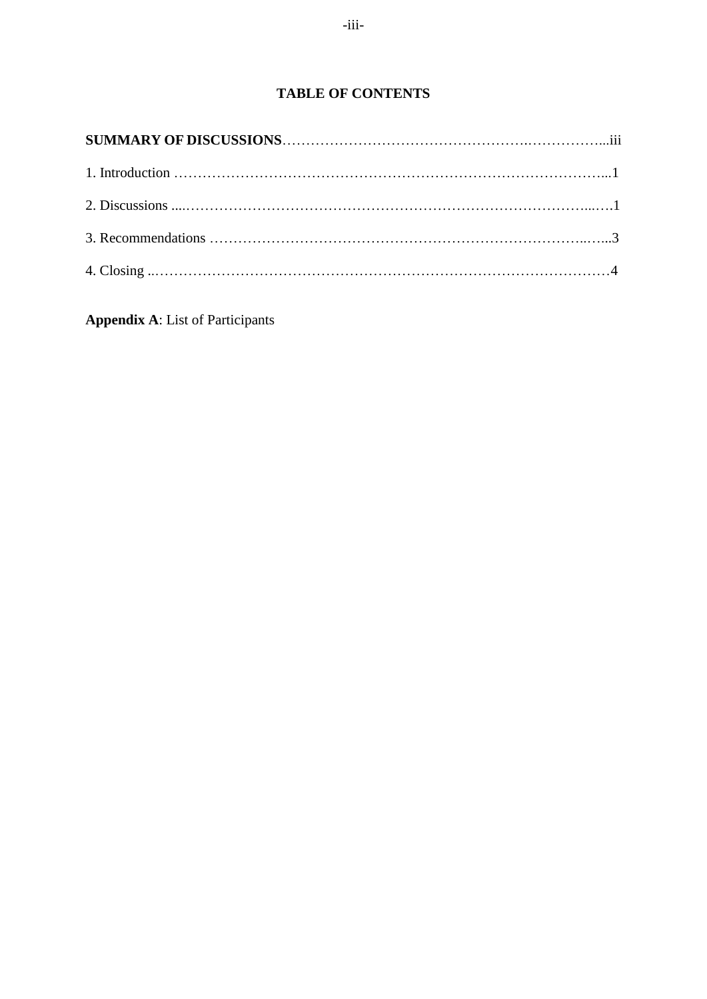<span id="page-2-0"></span>**Appendix A**: List of Participants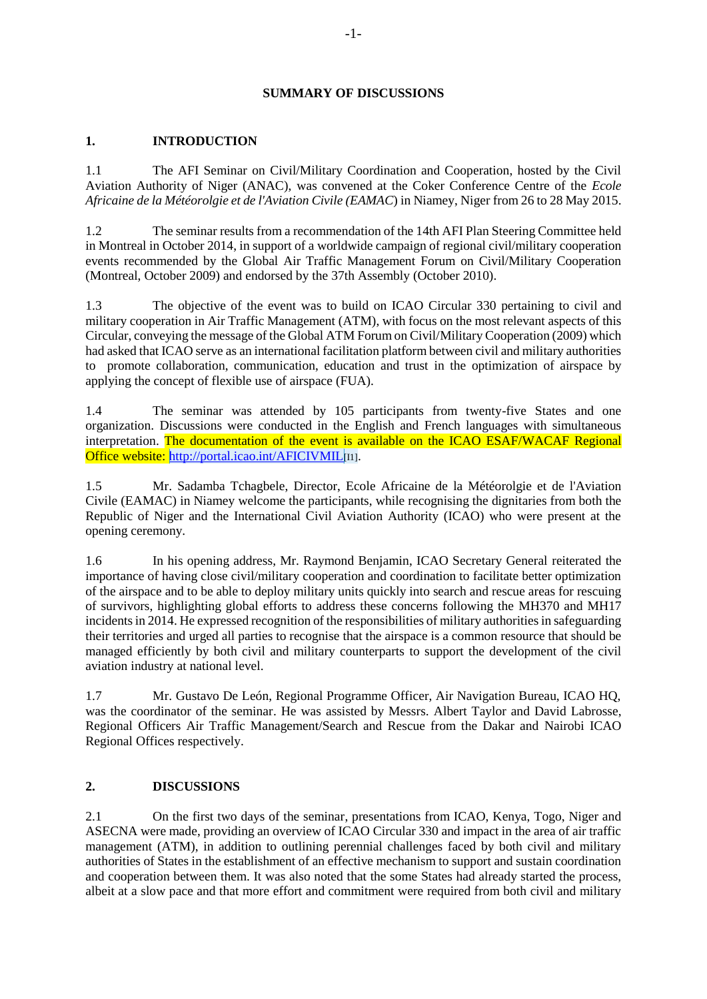### **SUMMARY OF DISCUSSIONS**

# **1. INTRODUCTION**

1.1 The AFI Seminar on Civil/Military Coordination and Cooperation, hosted by the Civil Aviation Authority of Niger (ANAC), was convened at the Coker Conference Centre of the *Ecole Africaine de la Météorolgie et de l'Aviation Civile (EAMAC*) in Niamey, Niger from 26 to 28 May 2015.

1.2 The seminar results from a recommendation of the 14th AFI Plan Steering Committee held in Montreal in October 2014, in support of a worldwide campaign of regional civil/military cooperation events recommended by the Global Air Traffic Management Forum on Civil/Military Cooperation (Montreal, October 2009) and endorsed by the 37th Assembly (October 2010).

1.3 The objective of the event was to build on ICAO Circular 330 pertaining to civil and military cooperation in Air Traffic Management (ATM), with focus on the most relevant aspects of this Circular, conveying the message of the Global ATM Forum on Civil/Military Cooperation (2009) which had asked that ICAO serve as an international facilitation platform between civil and military authorities to promote collaboration, communication, education and trust in the optimization of airspace by applying the concept of flexible use of airspace (FUA).

1.4 The seminar was attended by 105 participants from twenty-five States and one organization. Discussions were conducted in the English and French languages with simultaneous interpretation. The documentation of the event is available on the ICAO ESAF/WACAF Regional Office website:<http://portal.icao.int/AFICIVMIL><sup>[11]</sup>.

1.5 Mr. Sadamba Tchagbele, Director, Ecole Africaine de la Météorolgie et de l'Aviation Civile (EAMAC) in Niamey welcome the participants, while recognising the dignitaries from both the Republic of Niger and the International Civil Aviation Authority (ICAO) who were present at the opening ceremony.

1.6 In his opening address, Mr. Raymond Benjamin, ICAO Secretary General reiterated the importance of having close civil/military cooperation and coordination to facilitate better optimization of the airspace and to be able to deploy military units quickly into search and rescue areas for rescuing of survivors, highlighting global efforts to address these concerns following the MH370 and MH17 incidents in 2014. He expressed recognition of the responsibilities of military authorities in safeguarding their territories and urged all parties to recognise that the airspace is a common resource that should be managed efficiently by both civil and military counterparts to support the development of the civil aviation industry at national level.

1.7 Mr. Gustavo De León, Regional Programme Officer, Air Navigation Bureau, ICAO HQ, was the coordinator of the seminar. He was assisted by Messrs. Albert Taylor and David Labrosse, Regional Officers Air Traffic Management/Search and Rescue from the Dakar and Nairobi ICAO Regional Offices respectively.

# **2. DISCUSSIONS**

2.1 On the first two days of the seminar, presentations from ICAO, Kenya, Togo, Niger and ASECNA were made, providing an overview of ICAO Circular 330 and impact in the area of air traffic management (ATM), in addition to outlining perennial challenges faced by both civil and military authorities of States in the establishment of an effective mechanism to support and sustain coordination and cooperation between them. It was also noted that the some States had already started the process, albeit at a slow pace and that more effort and commitment were required from both civil and military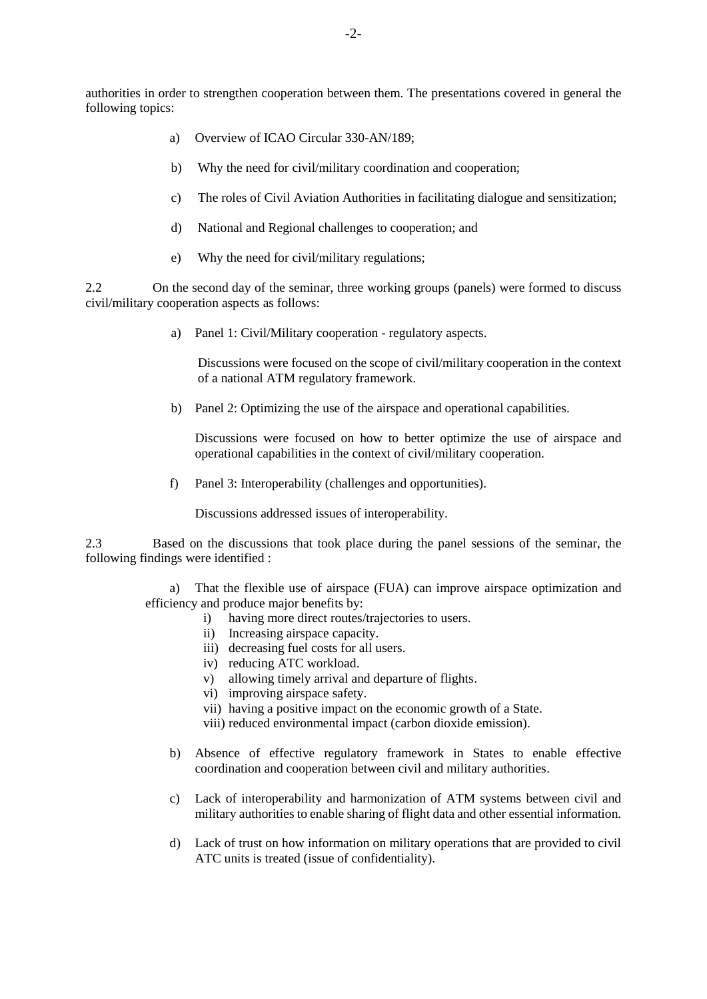authorities in order to strengthen cooperation between them. The presentations covered in general the following topics:

- a) Overview of ICAO Circular 330-AN/189;
- b) Why the need for civil/military coordination and cooperation;
- c) The roles of Civil Aviation Authorities in facilitating dialogue and sensitization;
- d) National and Regional challenges to cooperation; and
- e) Why the need for civil/military regulations;

2.2 On the second day of the seminar, three working groups (panels) were formed to discuss civil/military cooperation aspects as follows:

a) Panel 1: Civil/Military cooperation - regulatory aspects.

Discussions were focused on the scope of civil/military cooperation in the context of a national ATM regulatory framework.

b) Panel 2: Optimizing the use of the airspace and operational capabilities.

Discussions were focused on how to better optimize the use of airspace and operational capabilities in the context of civil/military cooperation.

f) Panel 3: Interoperability (challenges and opportunities).

Discussions addressed issues of interoperability.

2.3 Based on the discussions that took place during the panel sessions of the seminar, the following findings were identified :

> a) That the flexible use of airspace (FUA) can improve airspace optimization and efficiency and produce major benefits by:

- i) having more direct routes/trajectories to users.
- ii) Increasing airspace capacity.
- iii) decreasing fuel costs for all users.
- iv) reducing ATC workload.
- v) allowing timely arrival and departure of flights.
- vi) improving airspace safety.
- vii) having a positive impact on the economic growth of a State.
- viii) reduced environmental impact (carbon dioxide emission).
- b) Absence of effective regulatory framework in States to enable effective coordination and cooperation between civil and military authorities.
- c) Lack of interoperability and harmonization of ATM systems between civil and military authorities to enable sharing of flight data and other essential information.
- d) Lack of trust on how information on military operations that are provided to civil ATC units is treated (issue of confidentiality).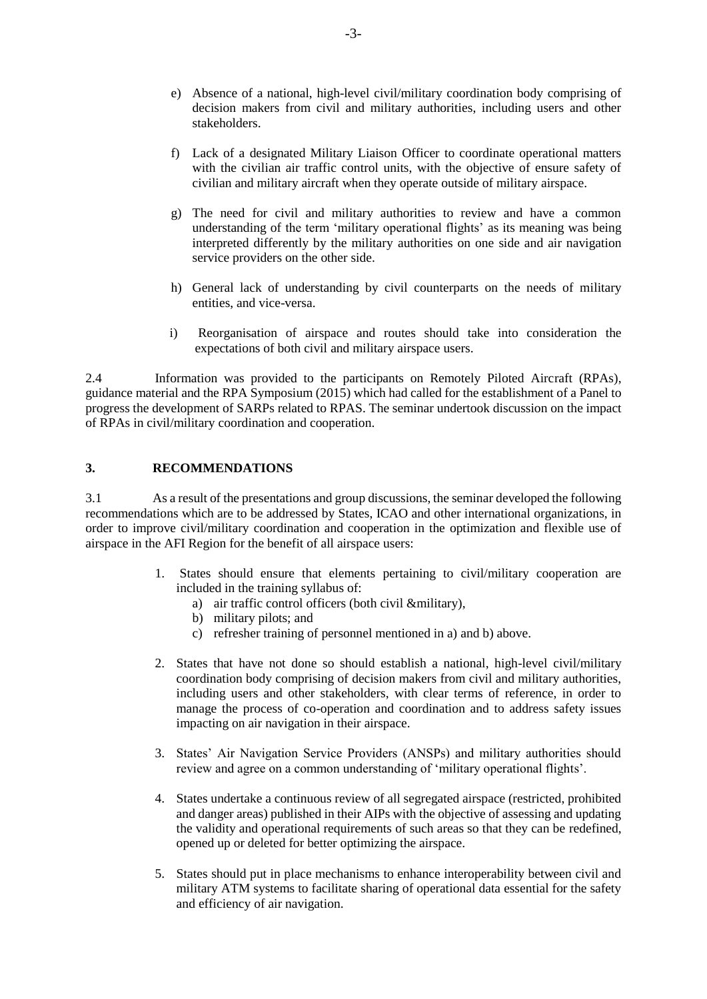- e) Absence of a national, high-level civil/military coordination body comprising of decision makers from civil and military authorities, including users and other stakeholders.
- f) Lack of a designated Military Liaison Officer to coordinate operational matters with the civilian air traffic control units, with the objective of ensure safety of civilian and military aircraft when they operate outside of military airspace.
- g) The need for civil and military authorities to review and have a common understanding of the term 'military operational flights' as its meaning was being interpreted differently by the military authorities on one side and air navigation service providers on the other side.
- h) General lack of understanding by civil counterparts on the needs of military entities, and vice-versa.
- i) Reorganisation of airspace and routes should take into consideration the expectations of both civil and military airspace users.

2.4 Information was provided to the participants on Remotely Piloted Aircraft (RPAs), guidance material and the RPA Symposium (2015) which had called for the establishment of a Panel to progress the development of SARPs related to RPAS. The seminar undertook discussion on the impact of RPAs in civil/military coordination and cooperation.

### **3. RECOMMENDATIONS**

3.1 As a result of the presentations and group discussions, the seminar developed the following recommendations which are to be addressed by States, ICAO and other international organizations, in order to improve civil/military coordination and cooperation in the optimization and flexible use of airspace in the AFI Region for the benefit of all airspace users:

- 1. States should ensure that elements pertaining to civil/military cooperation are included in the training syllabus of:
	- a) air traffic control officers (both civil &military),
	- b) military pilots; and
	- c) refresher training of personnel mentioned in a) and b) above.
- 2. States that have not done so should establish a national, high-level civil/military coordination body comprising of decision makers from civil and military authorities, including users and other stakeholders, with clear terms of reference, in order to manage the process of co-operation and coordination and to address safety issues impacting on air navigation in their airspace.
- 3. States' Air Navigation Service Providers (ANSPs) and military authorities should review and agree on a common understanding of 'military operational flights'.
- 4. States undertake a continuous review of all segregated airspace (restricted, prohibited and danger areas) published in their AIPs with the objective of assessing and updating the validity and operational requirements of such areas so that they can be redefined, opened up or deleted for better optimizing the airspace.
- 5. States should put in place mechanisms to enhance interoperability between civil and military ATM systems to facilitate sharing of operational data essential for the safety and efficiency of air navigation.